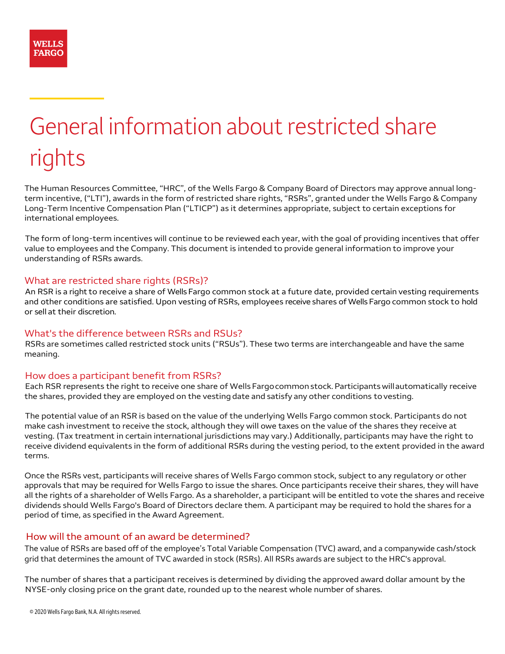# General information about restricted share rights

The Human Resources Committee, "HRC", of the Wells Fargo & Company Board of Directors may approve annual longterm incentive, ("LTI"), awards in the form of restricted share rights, "RSRs", granted under the Wells Fargo & Company Long-Term Incentive Compensation Plan ("LTICP") as it determines appropriate, subject to certain exceptions for international employees.

The form of long-term incentives will continue to be reviewed each year, with the goal of providing incentives that offer value to employees and the Company. This document is intended to provide general information to improve your understanding of RSRs awards.

# What are restricted share rights (RSRs)?

An RSR is a right to receive a share of Wells Fargo common stock at a future date, provided certain vesting requirements and other conditions are satisfied. Upon vesting of RSRs, employees receive shares of Wells Fargo common stock to hold or sell at their discretion.

# What's the difference between RSRs and RSUs?

RSRs are sometimes called restricted stock units ("RSUs"). These two terms are interchangeable and have the same meaning.

# How does a participant benefit from RSRs?

Each RSR represents the right to receive one share of Wells Fargo common stock. Participants will automatically receive the shares, provided they are employed on the vesting date and satisfy any other conditions to vesting.

The potential value of an RSR is based on the value of the underlying Wells Fargo common stock. Participants do not make cash investment to receive the stock, although they will owe taxes on the value of the shares they receive at vesting. (Tax treatment in certain international jurisdictions may vary.) Additionally, participants may have the right to receive dividend equivalents in the form of additional RSRs during the vesting period, to the extent provided in the award terms.

Once the RSRs vest, participants will receive shares of Wells Fargo common stock, subject to any regulatory or other approvals that may be required for Wells Fargo to issue the shares. Once participants receive their shares, they will have all the rights of a shareholder of Wells Fargo. As a shareholder, a participant will be entitled to vote the shares and receive dividends should Wells Fargo's Board of Directors declare them. A participant may be required to hold the shares for a period of time, as specified in the Award Agreement.

# How will the amount of an award be determined?

The value of RSRs are based off of the employee's Total Variable Compensation (TVC) award, and a companywide cash/stock grid that determines the amount of TVC awarded in stock (RSRs). All RSRs awards are subject to the HRC's approval.

The number of shares that a participant receives is determined by dividing the approved award dollar amount by the NYSE-only closing price on the grant date, rounded up to the nearest whole number of shares.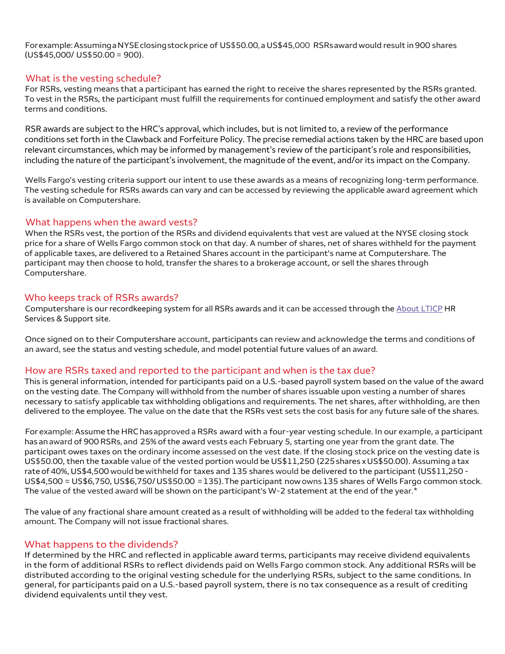For example: Assuming a NYSE closing stock price of US\$50.00, a US\$45,000 RSRs award would result in 900 shares (US\$45,000/ US\$50.00 = 900).

#### What is the vesting schedule?

For RSRs, vesting means that a participant has earned the right to receive the shares represented by the RSRs granted. To vest in the RSRs, the participant must fulfill the requirements for continued employment and satisfy the other award terms and conditions.

RSR awards are subject to the HRC's approval, which includes, but is not limited to, a review of the performance conditions set forth in the Clawback and Forfeiture Policy. The precise remedial actions taken by the HRC are based upon relevant circumstances, which may be informed by management's review of the participant's role and responsibilities, including the nature of the participant's involvement, the magnitude of the event, and/or its impact on the Company.

Wells Fargo's vesting criteria support our intent to use these awards as a means of recognizing long-term performance. The vesting schedule for RSRs awards can vary and can be accessed by reviewing the applicable award agreement which is available on Computershare.

#### What happens when the award vests?

When the RSRs vest, the portion of the RSRs and dividend equivalents that vest are valued at the NYSE closing stock price for a share of Wells Fargo common stock on that day. A number of shares, net of shares withheld for the payment of applicable taxes, are delivered to a Retained Shares account in the participant's name at Computershare. The participant may then choose to hold, transfer the shares to a brokerage account, or sell the shares through Computershare.

#### Who keeps track of RSRs awards?

Computershare is our recordkeeping system for all RSRs awards and it can be accessed through the [About LTICP](https:// About LTICP) HR Services & Support site.

Once signed on to their Computershare account, participants can review and acknowledge the terms and conditions of an award, see the status and vesting schedule, and model potential future values of an award.

# How are RSRs taxed and reported to the participant and when is the tax due?

This is general information, intended for participants paid on a U.S.-based payroll system based on the value of the award on the vesting date. The Company will withhold from the number of shares issuable upon vesting a number of shares necessary to satisfy applicable tax withholding obligations and requirements. The net shares, after withholding, are then delivered to the employee. The value on the date that the RSRs vest sets the cost basis for any future sale of the shares.

For example: Assume the HRC has approved a RSRs award with a four-year vesting schedule. In our example, a participant has an award of 900 RSRs, and 25% of the award vests each February 5, starting one year from the grant date. The participant owes taxes on the ordinary income assessed on the vest date. If the closing stock price on the vesting date is US\$50.00, then the taxable value of the vested portion would be US\$11,250 (225 shares x US\$50.00). Assuming a tax rate of 40%, US\$4,500 would be withheld for taxes and 135 shares would be delivered to the participant (US\$11,250 - US\$4,500 = US\$6,750, US\$6,750/ US\$50.00 = 135). The participant now owns 135 shares of Wells Fargo common stock. The value of the vested award will be shown on the participant's W-2 statement at the end of the year.[\\*](#page-2-0)

The value of any fractional share amount created as a result of withholding will be added to the federal tax withholding amount. The Company will not issue fractional shares.

#### What happens to the dividends?

If determined by the HRC and reflected in applicable award terms, participants may receive dividend equivalents in the form of additional RSRs to reflect dividends paid on Wells Fargo common stock. Any additional RSRs will be distributed according to the original vesting schedule for the underlying RSRs, subject to the same conditions. In general, for participants paid on a U.S.-based payroll system, there is no tax consequence as a result of crediting dividend equivalents until they vest.